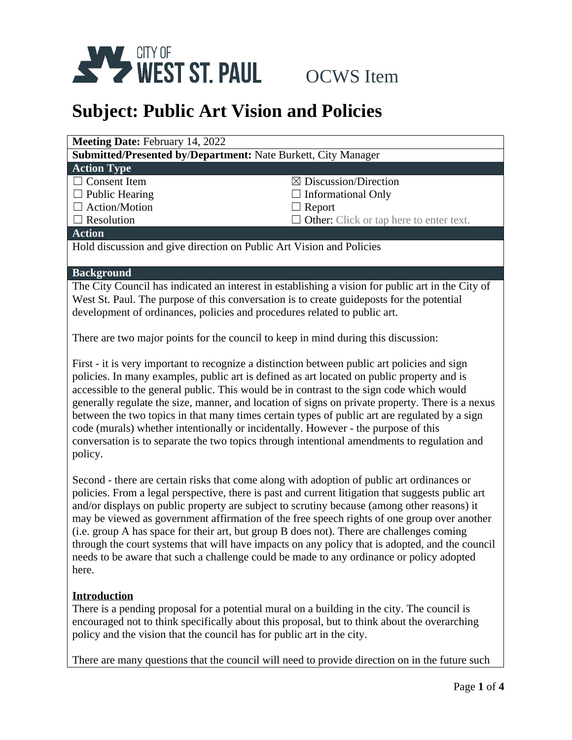

| <b>Meeting Date: February 14, 2022</b>                               |                                                |  |
|----------------------------------------------------------------------|------------------------------------------------|--|
| <b>Submitted/Presented by/Department: Nate Burkett, City Manager</b> |                                                |  |
| <b>Action Type</b>                                                   |                                                |  |
| $\Box$ Consent Item                                                  | $\boxtimes$ Discussion/Direction               |  |
| $\Box$ Public Hearing                                                | $\Box$ Informational Only                      |  |
| $\Box$ Action/Motion                                                 | $\Box$ Report                                  |  |
| $\Box$ Resolution                                                    | $\Box$ Other: Click or tap here to enter text. |  |
| <b>Action</b>                                                        |                                                |  |
| Hold discussion and give direction on Public Art Vision and Policies |                                                |  |
|                                                                      |                                                |  |
| <b>Background</b>                                                    |                                                |  |

The City Council has indicated an interest in establishing a vision for public art in the City of West St. Paul. The purpose of this conversation is to create guideposts for the potential development of ordinances, policies and procedures related to public art.

There are two major points for the council to keep in mind during this discussion:

First - it is very important to recognize a distinction between public art policies and sign policies. In many examples, public art is defined as art located on public property and is accessible to the general public. This would be in contrast to the sign code which would generally regulate the size, manner, and location of signs on private property. There is a nexus between the two topics in that many times certain types of public art are regulated by a sign code (murals) whether intentionally or incidentally. However - the purpose of this conversation is to separate the two topics through intentional amendments to regulation and policy.

Second - there are certain risks that come along with adoption of public art ordinances or policies. From a legal perspective, there is past and current litigation that suggests public art and/or displays on public property are subject to scrutiny because (among other reasons) it may be viewed as government affirmation of the free speech rights of one group over another (i.e. group A has space for their art, but group B does not). There are challenges coming through the court systems that will have impacts on any policy that is adopted, and the council needs to be aware that such a challenge could be made to any ordinance or policy adopted here.

### **Introduction**

There is a pending proposal for a potential mural on a building in the city. The council is encouraged not to think specifically about this proposal, but to think about the overarching policy and the vision that the council has for public art in the city.

There are many questions that the council will need to provide direction on in the future such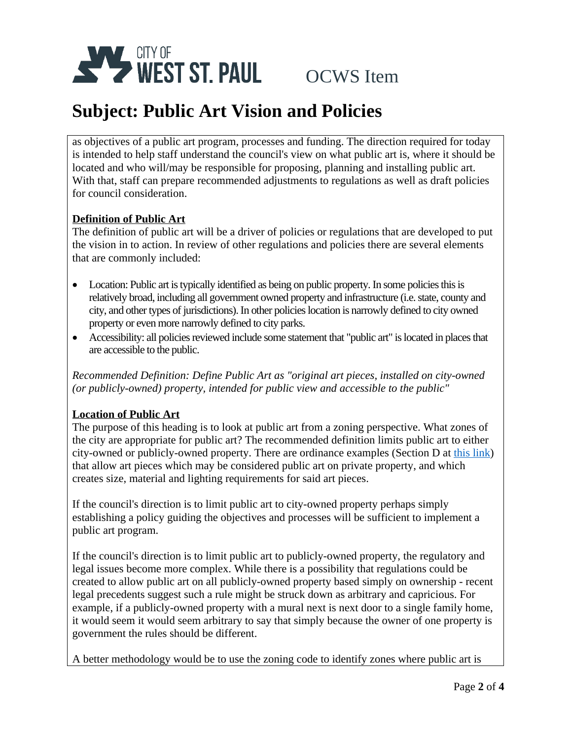

as objectives of a public art program, processes and funding. The direction required for today is intended to help staff understand the council's view on what public art is, where it should be located and who will/may be responsible for proposing, planning and installing public art. With that, staff can prepare recommended adjustments to regulations as well as draft policies for council consideration.

### **Definition of Public Art**

The definition of public art will be a driver of policies or regulations that are developed to put the vision in to action. In review of other regulations and policies there are several elements that are commonly included:

- Location: Public art is typically identified as being on public property. In some policies this is relatively broad, including all government owned property and infrastructure (i.e. state, county and city, and other types of jurisdictions). In other policieslocation is narrowly defined to city owned property or even more narrowly defined to city parks.
- Accessibility: all policies reviewed include some statement that "public art" is located in places that are accessible to the public.

*Recommended Definition: Define Public Art as "original art pieces, installed on city-owned (or publicly-owned) property, intended for public view and accessible to the public"*

### **Location of Public Art**

The purpose of this heading is to look at public art from a zoning perspective. What zones of the city are appropriate for public art? The recommended definition limits public art to either city-owned or publicly-owned property. There are ordinance examples (Section D at [this link\)](https://shakopee.municipalcodeonline.com/book?type=ordinances#name=151.194_Supplemental_Criteria_For_All_Districts) that allow art pieces which may be considered public art on private property, and which creates size, material and lighting requirements for said art pieces.

If the council's direction is to limit public art to city-owned property perhaps simply establishing a policy guiding the objectives and processes will be sufficient to implement a public art program.

If the council's direction is to limit public art to publicly-owned property, the regulatory and legal issues become more complex. While there is a possibility that regulations could be created to allow public art on all publicly-owned property based simply on ownership - recent legal precedents suggest such a rule might be struck down as arbitrary and capricious. For example, if a publicly-owned property with a mural next is next door to a single family home, it would seem it would seem arbitrary to say that simply because the owner of one property is government the rules should be different.

A better methodology would be to use the zoning code to identify zones where public art is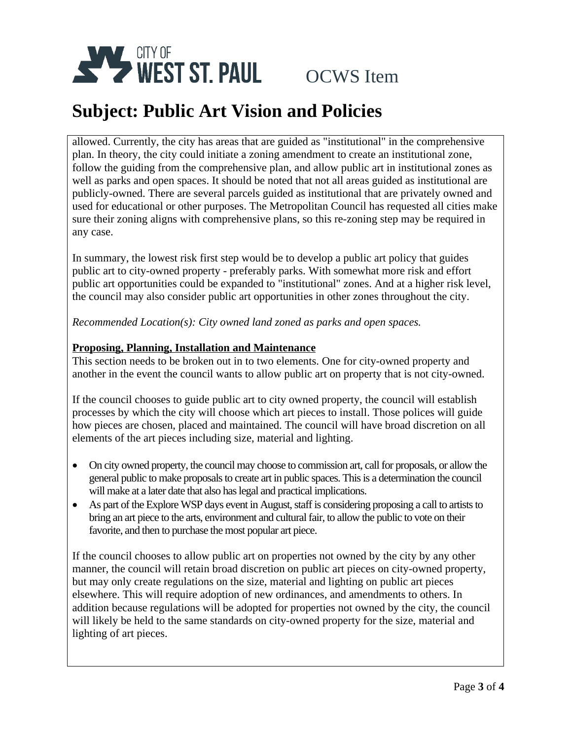

allowed. Currently, the city has areas that are guided as "institutional" in the comprehensive plan. In theory, the city could initiate a zoning amendment to create an institutional zone, follow the guiding from the comprehensive plan, and allow public art in institutional zones as well as parks and open spaces. It should be noted that not all areas guided as institutional are publicly-owned. There are several parcels guided as institutional that are privately owned and used for educational or other purposes. The Metropolitan Council has requested all cities make sure their zoning aligns with comprehensive plans, so this re-zoning step may be required in any case.

In summary, the lowest risk first step would be to develop a public art policy that guides public art to city-owned property - preferably parks. With somewhat more risk and effort public art opportunities could be expanded to "institutional" zones. And at a higher risk level, the council may also consider public art opportunities in other zones throughout the city.

*Recommended Location(s): City owned land zoned as parks and open spaces.*

### **Proposing, Planning, Installation and Maintenance**

This section needs to be broken out in to two elements. One for city-owned property and another in the event the council wants to allow public art on property that is not city-owned.

If the council chooses to guide public art to city owned property, the council will establish processes by which the city will choose which art pieces to install. Those polices will guide how pieces are chosen, placed and maintained. The council will have broad discretion on all elements of the art pieces including size, material and lighting.

- On city owned property, the council may choose to commission art, call for proposals, or allow the general public to make proposals to create art in public spaces. This is a determination the council will make at a later date that also has legal and practical implications.
- As part of the Explore WSP days event in August, staff is considering proposing a call to artists to bring an art piece to the arts, environment and cultural fair, to allow the public to vote on their favorite, and then to purchase the most popular art piece.

If the council chooses to allow public art on properties not owned by the city by any other manner, the council will retain broad discretion on public art pieces on city-owned property, but may only create regulations on the size, material and lighting on public art pieces elsewhere. This will require adoption of new ordinances, and amendments to others. In addition because regulations will be adopted for properties not owned by the city, the council will likely be held to the same standards on city-owned property for the size, material and lighting of art pieces.